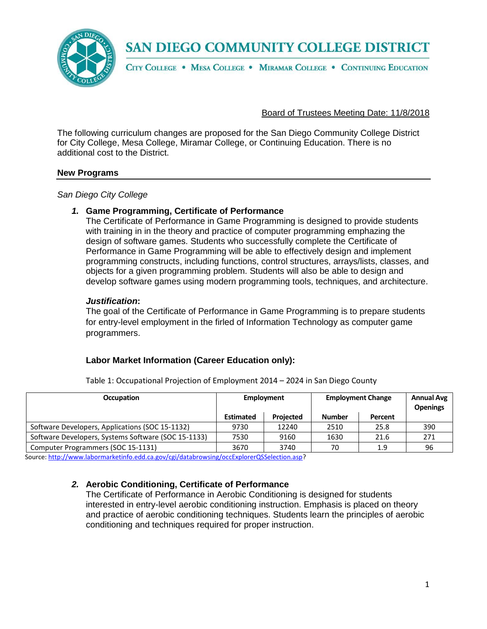

SAN DIEGO COMMUNITY COLLEGE DISTRICT

CITY COLLEGE . MESA COLLEGE . MIRAMAR COLLEGE . CONTINUING EDUCATION

Board of Trustees Meeting Date: 11/8/2018

The following curriculum changes are proposed for the San Diego Community College District for City College, Mesa College, Miramar College, or Continuing Education. There is no additional cost to the District.

# **New Programs**

*San Diego City College*

## *1.* **Game Programming, Certificate of Performance**

The Certificate of Performance in Game Programming is designed to provide students with training in in the theory and practice of computer programming emphazing the design of software games. Students who successfully complete the Certificate of Performance in Game Programming will be able to effectively design and implement programming constructs, including functions, control structures, arrays/lists, classes, and objects for a given programming problem. Students will also be able to design and develop software games using modern programming tools, techniques, and architecture.

## *Justification***:**

The goal of the Certificate of Performance in Game Programming is to prepare students for entry-level employment in the firled of Information Technology as computer game programmers.

# **Labor Market Information (Career Education only):**

| <b>Occupation</b>                                   | Employment       |                  | <b>Employment Change</b> |         | <b>Annual Avg</b><br><b>Openings</b> |
|-----------------------------------------------------|------------------|------------------|--------------------------|---------|--------------------------------------|
|                                                     | <b>Estimated</b> | <b>Projected</b> | <b>Number</b>            | Percent |                                      |
| Software Developers, Applications (SOC 15-1132)     | 9730             | 12240            | 2510                     | 25.8    | 390                                  |
| Software Developers, Systems Software (SOC 15-1133) | 7530             | 9160             | 1630                     | 21.6    | 271                                  |
| Computer Programmers (SOC 15-1131)                  | 3670             | 3740             | 70                       | 1.9     | 96                                   |

Table 1: Occupational Projection of Employment 2014 – 2024 in San Diego County

Source: [http://www.labormarketinfo.edd.ca.gov/cgi/databrowsing/occExplorerQSSelection.asp?](http://www.labormarketinfo.edd.ca.gov/cgi/databrowsing/occExplorerQSSelection.asp)

# *2.* **Aerobic Conditioning, Certificate of Performance**

The Certificate of Performance in Aerobic Conditioning is designed for students interested in entry-level aerobic conditioning instruction. Emphasis is placed on theory and practice of aerobic conditioning techniques. Students learn the principles of aerobic conditioning and techniques required for proper instruction.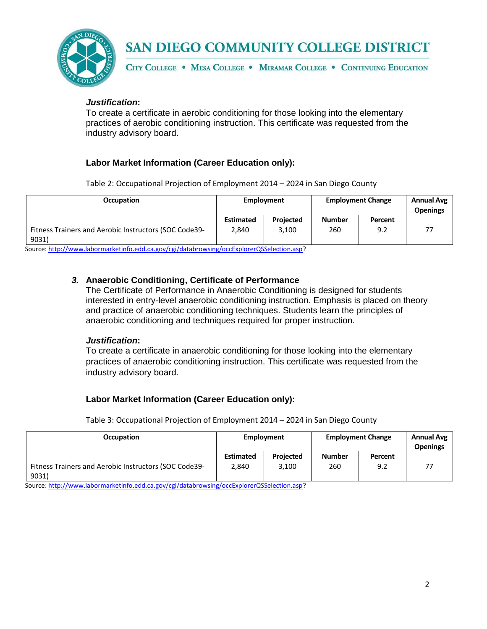

# SAN DIEGO COMMUNITY COLLEGE DISTRICT

CITY COLLEGE . MESA COLLEGE . MIRAMAR COLLEGE . CONTINUING EDUCATION

## *Justification***:**

To create a certificate in aerobic conditioning for those looking into the elementary practices of aerobic conditioning instruction. This certificate was requested from the industry advisory board.

# **Labor Market Information (Career Education only):**

Table 2: Occupational Projection of Employment 2014 – 2024 in San Diego County

| <b>Occupation</b>                                              | Employment       |                  | <b>Employment Change</b> |         | Annual Avg<br><b>Openings</b> |
|----------------------------------------------------------------|------------------|------------------|--------------------------|---------|-------------------------------|
|                                                                | <b>Estimated</b> | <b>Projected</b> | <b>Number</b>            | Percent |                               |
| Fitness Trainers and Aerobic Instructors (SOC Code39-<br>9031) | 2,840            | 3,100            | 260                      | 9.2     |                               |

Source: [http://www.labormarketinfo.edd.ca.gov/cgi/databrowsing/occExplorerQSSelection.asp?](http://www.labormarketinfo.edd.ca.gov/cgi/databrowsing/occExplorerQSSelection.asp)

# *3.* **Anaerobic Conditioning, Certificate of Performance**

The Certificate of Performance in Anaerobic Conditioning is designed for students interested in entry-level anaerobic conditioning instruction. Emphasis is placed on theory and practice of anaerobic conditioning techniques. Students learn the principles of anaerobic conditioning and techniques required for proper instruction.

#### *Justification***:**

To create a certificate in anaerobic conditioning for those looking into the elementary practices of anaerobic conditioning instruction. This certificate was requested from the industry advisory board.

#### **Labor Market Information (Career Education only):**

Table 3: Occupational Projection of Employment 2014 – 2024 in San Diego County

| Occupation                                                     | <b>Employment</b> |                  | <b>Employment Change</b> |         | <b>Annual Avg</b><br><b>Openings</b> |
|----------------------------------------------------------------|-------------------|------------------|--------------------------|---------|--------------------------------------|
|                                                                | Estimated         | <b>Projected</b> | <b>Number</b>            | Percent |                                      |
| Fitness Trainers and Aerobic Instructors (SOC Code39-<br>9031) | 2.840             | 3,100            | 260                      | 9.2     | 77                                   |

Source: [http://www.labormarketinfo.edd.ca.gov/cgi/databrowsing/occExplorerQSSelection.asp?](http://www.labormarketinfo.edd.ca.gov/cgi/databrowsing/occExplorerQSSelection.asp)